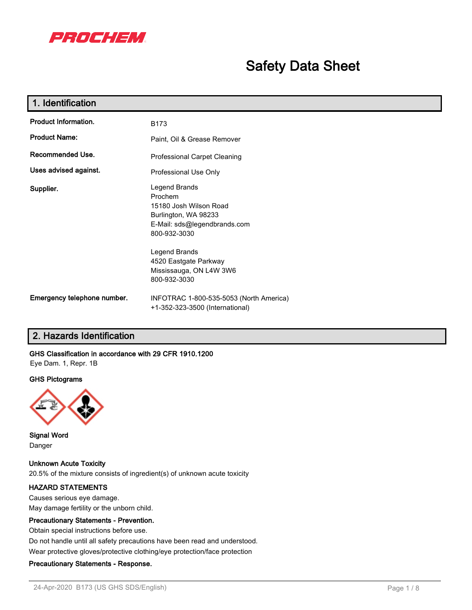

## **Safety Data Sheet**

| 1. Identification           |                                                                                                                                                                      |  |
|-----------------------------|----------------------------------------------------------------------------------------------------------------------------------------------------------------------|--|
| <b>Product Information.</b> | B173                                                                                                                                                                 |  |
| <b>Product Name:</b>        | Paint, Oil & Grease Remover                                                                                                                                          |  |
| Recommended Use.            | Professional Carpet Cleaning                                                                                                                                         |  |
| Uses advised against.       | Professional Use Only                                                                                                                                                |  |
| Supplier.                   | Legend Brands<br>Prochem<br>15180 Josh Wilson Road<br>Burlington, WA 98233<br>E-Mail: sds@legendbrands.com<br>800-932-3030<br>Legend Brands<br>4520 Eastgate Parkway |  |
|                             | Mississauga, ON L4W 3W6<br>800-932-3030                                                                                                                              |  |
| Emergency telephone number. | INFOTRAC 1-800-535-5053 (North America)<br>+1-352-323-3500 (International)                                                                                           |  |

### **2. Hazards Identification**

#### **GHS Classification in accordance with 29 CFR 1910.1200**

Eye Dam. 1, Repr. 1B

#### **GHS Pictograms**



**Signal Word** Danger

**Unknown Acute Toxicity** 20.5% of the mixture consists of ingredient(s) of unknown acute toxicity

### **HAZARD STATEMENTS**

Causes serious eye damage. May damage fertility or the unborn child.

#### **Precautionary Statements - Prevention.**

Obtain special instructions before use.

Do not handle until all safety precautions have been read and understood.

Wear protective gloves/protective clothing/eye protection/face protection

#### **Precautionary Statements - Response.**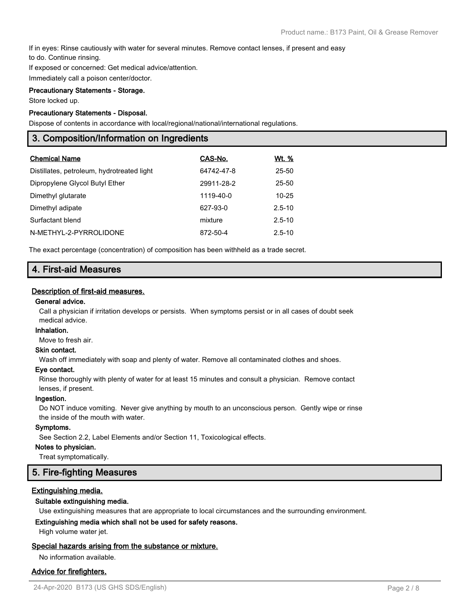If in eyes: Rinse cautiously with water for several minutes. Remove contact lenses, if present and easy to do. Continue rinsing.

If exposed or concerned: Get medical advice/attention.

Immediately call a poison center/doctor.

### **Precautionary Statements - Storage.**

Store locked up.

#### **Precautionary Statements - Disposal.**

Dispose of contents in accordance with local/regional/national/international regulations.

### **3. Composition/Information on Ingredients**

| <b>Chemical Name</b>                       | CAS-No.    | Wt. %      |
|--------------------------------------------|------------|------------|
| Distillates, petroleum, hydrotreated light | 64742-47-8 | 25-50      |
| Dipropylene Glycol Butyl Ether             | 29911-28-2 | 25-50      |
| Dimethyl glutarate                         | 1119-40-0  | $10 - 25$  |
| Dimethyl adipate                           | 627-93-0   | $2.5 - 10$ |
| Surfactant blend                           | mixture    | $2.5 - 10$ |
| N-METHYL-2-PYRROLIDONE                     | 872-50-4   | $2.5 - 10$ |

The exact percentage (concentration) of composition has been withheld as a trade secret.

### **4. First-aid Measures**

#### **Description of first-aid measures.**

#### **General advice.**

Call a physician if irritation develops or persists. When symptoms persist or in all cases of doubt seek medical advice.

#### **Inhalation.**

Move to fresh air.

#### **Skin contact.**

Wash off immediately with soap and plenty of water. Remove all contaminated clothes and shoes.

#### **Eye contact.**

Rinse thoroughly with plenty of water for at least 15 minutes and consult a physician. Remove contact lenses, if present.

#### **Ingestion.**

Do NOT induce vomiting. Never give anything by mouth to an unconscious person. Gently wipe or rinse the inside of the mouth with water.

#### **Symptoms.**

See Section 2.2, Label Elements and/or Section 11, Toxicological effects.

#### **Notes to physician.**

Treat symptomatically.

### **5. Fire-fighting Measures**

#### **Extinguishing media.**

#### **Suitable extinguishing media.**

Use extinguishing measures that are appropriate to local circumstances and the surrounding environment.

#### **Extinguishing media which shall not be used for safety reasons.**

High volume water jet.

#### **Special hazards arising from the substance or mixture.**

No information available.

### **Advice for firefighters.**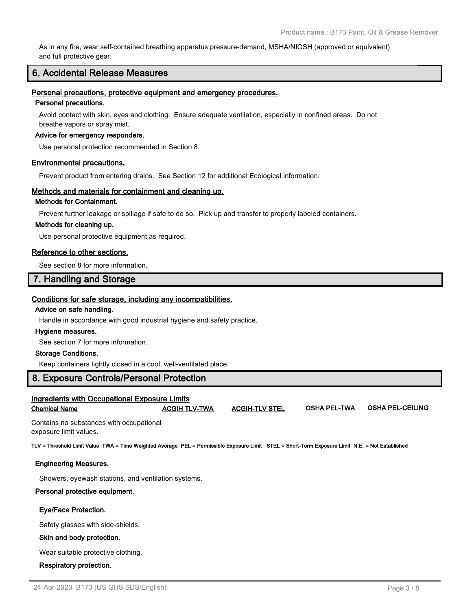As in any fire, wear self-contained breathing apparatus pressure-demand, MSHA/NIOSH (approved or equivalent) and full protective gear.

### **6. Accidental Release Measures**

#### **Personal precautions, protective equipment and emergency procedures.**

#### **Personal precautions.**

Avoid contact with skin, eyes and clothing. Ensure adequate ventilation, especially in confined areas. Do not breathe vapors or spray mist.

#### **Advice for emergency responders.**

Use personal protection recommended in Section 8.

#### **Environmental precautions.**

Prevent product from entering drains. See Section 12 for additional Ecological information.

#### **Methods and materials for containment and cleaning up.**

### **Methods for Containment.**

Prevent further leakage or spillage if safe to do so. Pick up and transfer to properly labeled containers.

#### **Methods for cleaning up.**

Use personal protective equipment as required.

#### **Reference to other sections.**

See section 8 for more information.

### **7. Handling and Storage**

#### **Conditions for safe storage, including any incompatibilities.**

#### **Advice on safe handling.**

Handle in accordance with good industrial hygiene and safety practice.

#### **Hygiene measures.**

See section 7 for more information.

#### **Storage Conditions.**

Keep containers tightly closed in a cool, well-ventilated place.

### **8. Exposure Controls/Personal Protection**

| <b>Ingredients with Occupational Exposure Limits</b>                                                                                                                                                                           |                      |                       |                     |                         |  |  |
|--------------------------------------------------------------------------------------------------------------------------------------------------------------------------------------------------------------------------------|----------------------|-----------------------|---------------------|-------------------------|--|--|
| <b>Chemical Name</b>                                                                                                                                                                                                           | <b>ACGIH TLV-TWA</b> | <b>ACGIH-TLV STEL</b> | <b>OSHA PEL-TWA</b> | <b>OSHA PEL-CEILING</b> |  |  |
| As additional construction of a contribution of the set of the set of the set of the set of the set of the set of the set of the set of the set of the set of the set of the set of the set of the set of the set of the set o |                      |                       |                     |                         |  |  |

Contains no substances with occupational exposure limit values.

**TLV = Threshold Limit Value TWA = Time Weighted Average PEL = Permissible Exposure Limit STEL = Short-Term Exposure Limit N.E. = Not Established**

#### **Engineering Measures.**

Showers, eyewash stations, and ventilation systems.

#### **Personal protective equipment.**

#### **Eye/Face Protection.**

Safety glasses with side-shields.

#### **Skin and body protection.**

Wear suitable protective clothing.

 **Respiratory protection.**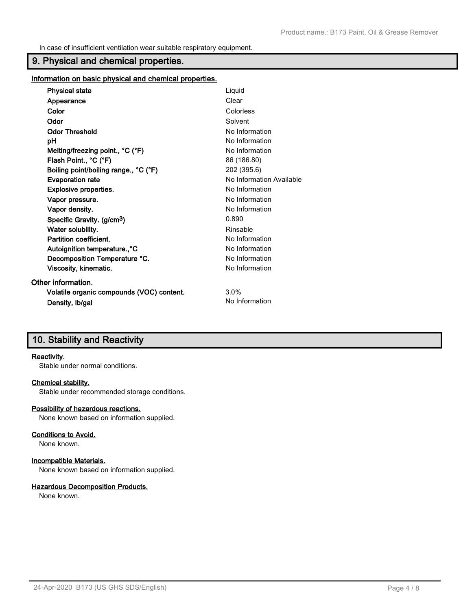In case of insufficient ventilation wear suitable respiratory equipment.

### **9. Physical and chemical properties.**

**Information on basic physical and chemical properties.**

| <b>Physical state</b>                     | Liquid                   |
|-------------------------------------------|--------------------------|
| Appearance                                | Clear                    |
| Color                                     | Colorless                |
| Odor                                      | Solvent                  |
| <b>Odor Threshold</b>                     | No Information           |
| рH                                        | No Information           |
| Melting/freezing point., °C (°F)          | No Information           |
| Flash Point., °C (°F)                     | 86 (186.80)              |
| Boiling point/boiling range., °C (°F)     | 202 (395.6)              |
| <b>Evaporation rate</b>                   | No Information Available |
| Explosive properties.                     | No Information           |
| Vapor pressure.                           | No Information           |
| Vapor density.                            | No Information           |
| Specific Gravity. (g/cm <sup>3</sup> )    | 0.890                    |
| Water solubility.                         | Rinsable                 |
| Partition coefficient.                    | No Information           |
| Autoignition temperature <sup>o</sup> C   | No Information           |
| Decomposition Temperature °C.             | No Information           |
| Viscosity, kinematic.                     | No Information           |
| Other information.                        |                          |
| Volatile organic compounds (VOC) content. | 3.0%                     |
| Density, Ib/gal                           | No Information           |

### **10. Stability and Reactivity**

#### **Reactivity.**

Stable under normal conditions.

#### **Chemical stability.**

Stable under recommended storage conditions.

#### **Possibility of hazardous reactions.**

None known based on information supplied.

#### **Conditions to Avoid.**

None known.

#### **Incompatible Materials.**

None known based on information supplied.

#### **Hazardous Decomposition Products.**

None known.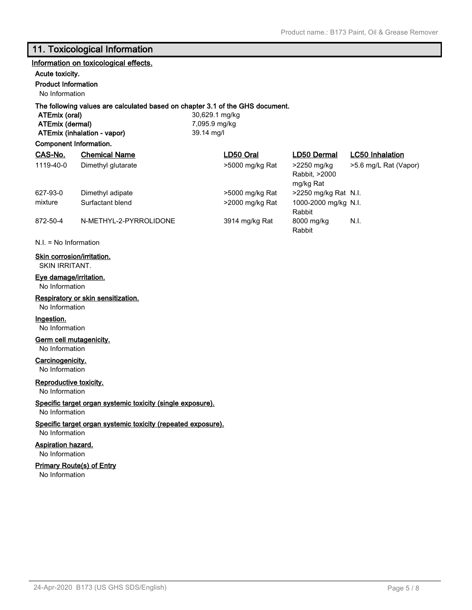### **11. Toxicological Information**

### **Information on toxicological effects. Acute toxicity. Product Information** No Information **The following values are calculated based on chapter 3.1 of the GHS document. ATEmix (oral)** 30,629.1 mg/kg **ATEmix (dermal)** 7,095.9 mg/kg **ATEmix (inhalation - vapor)** 39.14 mg/l **Component Information. CAS-No. Chemical Name LD50 Oral LD50 Dermal LC50 Inhalation** 1119-40-0 Dimethyl glutarate >5000 mg/kg Rat >2250 mg/kg

mixture Surfactant blend >2000 mg/kg Rat

Rabbit, >2000 mg/kg Rat >5.6 mg/L Rat (Vapor) 627-93-0 Dimethyl adipate >5000 mg/kg Rat >2250 mg/kg Rat N.I. Rabbit 1000-2000 mg/kg N.I. 872-50-4 N-METHYL-2-PYRROLIDONE 3914 mg/kg Rat 8000 mg/kg Rabbit N.I.

N.I. = No Information

#### **Skin corrosion/irritation.**

SKIN IRRITANT.

### **Eye damage/irritation.**

No Information

#### **Respiratory or skin sensitization.**

No Information

### **Ingestion.**

No Information

#### **Germ cell mutagenicity.**

No Information

#### **Carcinogenicity.**

No Information

#### **Reproductive toxicity.**

No Information

### **Specific target organ systemic toxicity (single exposure).**

No Information

### **Specific target organ systemic toxicity (repeated exposure).**

No Information

### **Aspiration hazard.**

No Information

### **Primary Route(s) of Entry**

No Information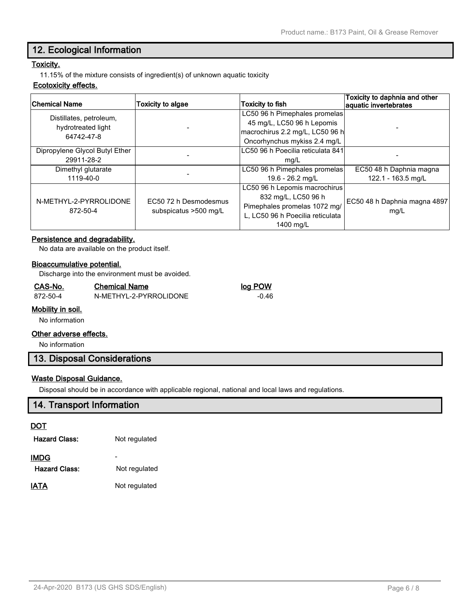### **12. Ecological Information**

### **Toxicity.**

11.15% of the mixture consists of ingredient(s) of unknown aquatic toxicity

#### **Ecotoxicity effects.**

| <b>Chemical Name</b>                                        | Toxicity to algae                              | <b>Toxicity to fish</b>                                                                                                               | Toxicity to daphnia and other<br>aquatic invertebrates |  |
|-------------------------------------------------------------|------------------------------------------------|---------------------------------------------------------------------------------------------------------------------------------------|--------------------------------------------------------|--|
| Distillates, petroleum,<br>hydrotreated light<br>64742-47-8 |                                                | LC50 96 h Pimephales promelas<br>45 mg/L, LC50 96 h Lepomis<br>macrochirus 2.2 mg/L, LC50 96 h                                        |                                                        |  |
|                                                             |                                                | Oncorhynchus mykiss 2.4 mg/L                                                                                                          |                                                        |  |
| Dipropylene Glycol Butyl Ether                              |                                                | LC50 96 h Poecilia reticulata 841                                                                                                     |                                                        |  |
| 29911-28-2                                                  |                                                | mg/L                                                                                                                                  |                                                        |  |
| Dimethyl glutarate                                          |                                                | LC50 96 h Pimephales promelas                                                                                                         | EC50 48 h Daphnia magna                                |  |
| 1119-40-0                                                   |                                                | 19.6 - 26.2 mg/L                                                                                                                      | 122.1 - 163.5 mg/L                                     |  |
| N-METHYL-2-PYRROLIDONE<br>872-50-4                          | EC50 72 h Desmodesmus<br>subspicatus >500 mg/L | LC50 96 h Lepomis macrochirus<br>832 mg/L, LC50 96 h<br>Pimephales promelas 1072 mg/<br>L, LC50 96 h Poecilia reticulata<br>1400 mg/L | EC50 48 h Daphnia magna 4897<br>mg/L                   |  |

#### **Persistence and degradability.**

No data are available on the product itself.

#### **Bioaccumulative potential.**

Discharge into the environment must be avoided.

#### **CAS-No. Chemical Name log POW**

872-50-4 N-METHYL-2-PYRROLIDONE -0.46

#### **Mobility in soil.**

No information

#### **Other adverse effects.**

No information

### **13. Disposal Considerations**

#### **Waste Disposal Guidance.**

Disposal should be in accordance with applicable regional, national and local laws and regulations.

### **14. Transport Information**

#### **DOT**

| <b>Hazard Class:</b> | Not regulated |
|----------------------|---------------|
| <b>IMDG</b>          |               |
| <b>Hazard Class:</b> | Not regulated |
| IATA                 | Not regulated |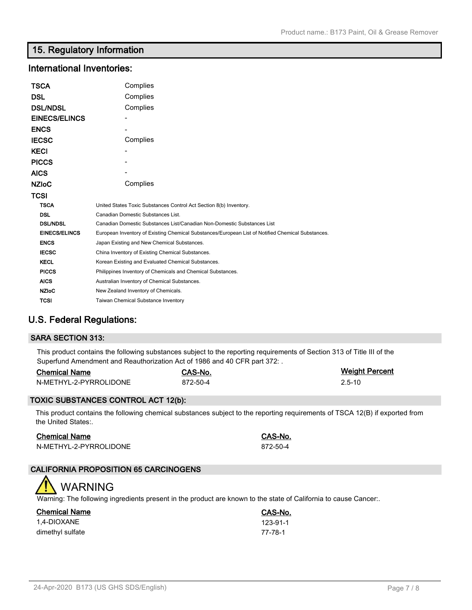### **15. Regulatory Information**

### **International Inventories:**

| TSCA                 | Complies                                                                                          |  |  |
|----------------------|---------------------------------------------------------------------------------------------------|--|--|
| DSL                  | Complies                                                                                          |  |  |
| <b>DSL/NDSL</b>      | Complies                                                                                          |  |  |
| <b>EINECS/ELINCS</b> |                                                                                                   |  |  |
| <b>ENCS</b>          |                                                                                                   |  |  |
| <b>IECSC</b>         | Complies                                                                                          |  |  |
| <b>KECI</b>          |                                                                                                   |  |  |
| <b>PICCS</b>         |                                                                                                   |  |  |
| <b>AICS</b>          |                                                                                                   |  |  |
| <b>NZIoC</b>         | Complies                                                                                          |  |  |
| TCSI                 |                                                                                                   |  |  |
| <b>TSCA</b>          | United States Toxic Substances Control Act Section 8(b) Inventory.                                |  |  |
| <b>DSL</b>           | Canadian Domestic Substances List.                                                                |  |  |
| <b>DSL/NDSL</b>      | Canadian Domestic Substances List/Canadian Non-Domestic Substances List                           |  |  |
| <b>EINECS/ELINCS</b> | European Inventory of Existing Chemical Substances/European List of Notified Chemical Substances. |  |  |
| <b>ENCS</b>          | Japan Existing and New Chemical Substances.                                                       |  |  |
| <b>IECSC</b>         | China Inventory of Existing Chemical Substances.                                                  |  |  |
| <b>KECL</b>          | Korean Existing and Evaluated Chemical Substances.                                                |  |  |
| <b>PICCS</b>         | Philippines Inventory of Chemicals and Chemical Substances.                                       |  |  |
| <b>AICS</b>          | Australian Inventory of Chemical Substances.                                                      |  |  |
| <b>NZIoC</b>         | New Zealand Inventory of Chemicals.                                                               |  |  |
| TCSI                 | <b>Taiwan Chemical Substance Inventory</b>                                                        |  |  |

### **U.S. Federal Regulations:**

| <b>SARA SECTION 313:</b>                                                                                                |
|-------------------------------------------------------------------------------------------------------------------------|
| This product contains the following substances subject to the reporting requirements of Section 313 of Title III of the |

| Superfund Amendment and Reauthorization Act of 1986 and 40 CFR part 372: |          |                       |  |  |  |
|--------------------------------------------------------------------------|----------|-----------------------|--|--|--|
| <b>Chemical Name</b>                                                     | CAS-No.  | <b>Weight Percent</b> |  |  |  |
| N-METHYL-2-PYRROLIDONE                                                   | 872-50-4 | $2.5 - 10$            |  |  |  |

### **TOXIC SUBSTANCES CONTROL ACT 12(b):**

This product contains the following chemical substances subject to the reporting requirements of TSCA 12(B) if exported from the United States:.

### **Chemical Name CAS-No.**

N-METHYL-2-PYRROLIDONE 872-50-4

**Chemical Name CAS-No.**

### **CALIFORNIA PROPOSITION 65 CARCINOGENS**

## WARNING

Warning: The following ingredients present in the product are known to the state of California to cause Cancer:.

| <b>Chemical Name</b> | <b>CAS-No</b> |
|----------------------|---------------|
| 1.4-DIOXANE          | 123-91-1      |
| dimethyl sulfate     | 77-78-1       |